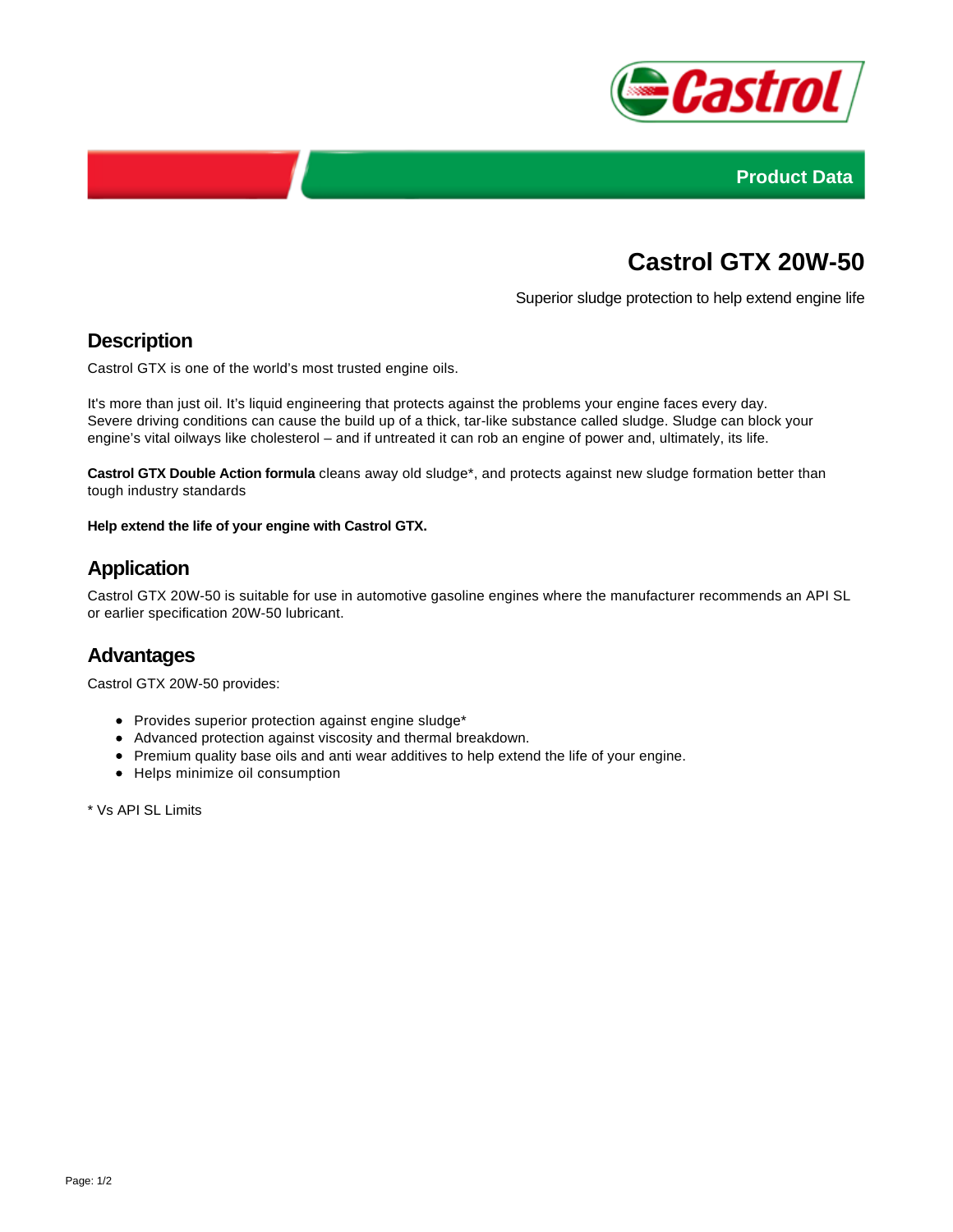



# **Castrol GTX 20W-50**

Superior sludge protection to help extend engine life

# **Description**

Castrol GTX is one of the world's most trusted engine oils.

It's more than just oil. It's liquid engineering that protects against the problems your engine faces every day. Severe driving conditions can cause the build up of a thick, tar-like substance called sludge. Sludge can block your engine's vital oilways like cholesterol – and if untreated it can rob an engine of power and, ultimately, its life.

**Castrol GTX Double Action formula** cleans away old sludge\*, and protects against new sludge formation better than tough industry standards

**Help extend the life of your engine with Castrol GTX.**

## **Application**

Castrol GTX 20W-50 is suitable for use in automotive gasoline engines where the manufacturer recommends an API SL or earlier specification 20W-50 lubricant.

#### **Advantages**

Castrol GTX 20W-50 provides:

- Provides superior protection against engine sludge\*
- Advanced protection against viscosity and thermal breakdown.
- Premium quality base oils and anti wear additives to help extend the life of your engine.
- Helps minimize oil consumption

\* Vs API SL Limits